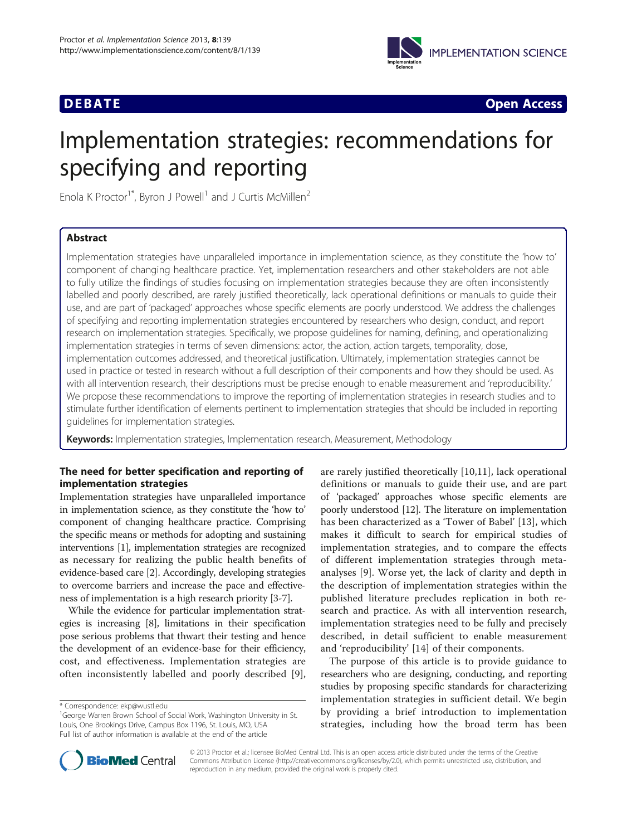

**DEBATE CONSIDERED ACCESS Open Access** 

# Implementation strategies: recommendations for specifying and reporting

Enola K Proctor<sup>1\*</sup>, Byron J Powell<sup>1</sup> and J Curtis McMillen<sup>2</sup>

# Abstract

Implementation strategies have unparalleled importance in implementation science, as they constitute the 'how to' component of changing healthcare practice. Yet, implementation researchers and other stakeholders are not able to fully utilize the findings of studies focusing on implementation strategies because they are often inconsistently labelled and poorly described, are rarely justified theoretically, lack operational definitions or manuals to guide their use, and are part of 'packaged' approaches whose specific elements are poorly understood. We address the challenges of specifying and reporting implementation strategies encountered by researchers who design, conduct, and report research on implementation strategies. Specifically, we propose guidelines for naming, defining, and operationalizing implementation strategies in terms of seven dimensions: actor, the action, action targets, temporality, dose, implementation outcomes addressed, and theoretical justification. Ultimately, implementation strategies cannot be used in practice or tested in research without a full description of their components and how they should be used. As with all intervention research, their descriptions must be precise enough to enable measurement and 'reproducibility.' We propose these recommendations to improve the reporting of implementation strategies in research studies and to stimulate further identification of elements pertinent to implementation strategies that should be included in reporting guidelines for implementation strategies.

Keywords: Implementation strategies, Implementation research, Measurement, Methodology

# The need for better specification and reporting of implementation strategies

Implementation strategies have unparalleled importance in implementation science, as they constitute the 'how to' component of changing healthcare practice. Comprising the specific means or methods for adopting and sustaining interventions [[1](#page-8-0)], implementation strategies are recognized as necessary for realizing the public health benefits of evidence-based care [\[2\]](#page-8-0). Accordingly, developing strategies to overcome barriers and increase the pace and effectiveness of implementation is a high research priority [[3-7\]](#page-8-0).

While the evidence for particular implementation strategies is increasing [\[8](#page-8-0)], limitations in their specification pose serious problems that thwart their testing and hence the development of an evidence-base for their efficiency, cost, and effectiveness. Implementation strategies are often inconsistently labelled and poorly described [[9](#page-8-0)],

are rarely justified theoretically [[10,11](#page-8-0)], lack operational definitions or manuals to guide their use, and are part of 'packaged' approaches whose specific elements are poorly understood [\[12\]](#page-8-0). The literature on implementation has been characterized as a 'Tower of Babel' [\[13](#page-8-0)], which makes it difficult to search for empirical studies of implementation strategies, and to compare the effects of different implementation strategies through metaanalyses [\[9](#page-8-0)]. Worse yet, the lack of clarity and depth in the description of implementation strategies within the published literature precludes replication in both research and practice. As with all intervention research, implementation strategies need to be fully and precisely described, in detail sufficient to enable measurement and 'reproducibility' [[14\]](#page-8-0) of their components.

The purpose of this article is to provide guidance to researchers who are designing, conducting, and reporting studies by proposing specific standards for characterizing implementation strategies in sufficient detail. We begin by providing a brief introduction to implementation strategies, including how the broad term has been



© 2013 Proctor et al.; licensee BioMed Central Ltd. This is an open access article distributed under the terms of the Creative Commons Attribution License [\(http://creativecommons.org/licenses/by/2.0\)](http://creativecommons.org/licenses/by/2.0), which permits unrestricted use, distribution, and reproduction in any medium, provided the original work is properly cited.

<sup>\*</sup> Correspondence: [ekp@wustl.edu](mailto:ekp@wustl.edu) <sup>1</sup>

<sup>&</sup>lt;sup>1</sup>George Warren Brown School of Social Work, Washington University in St. Louis, One Brookings Drive, Campus Box 1196, St. Louis, MO, USA Full list of author information is available at the end of the article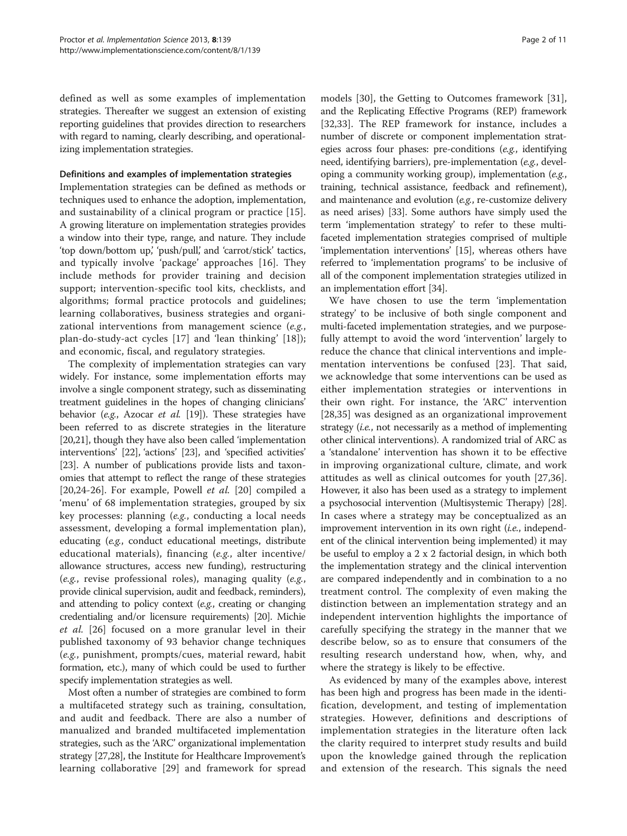defined as well as some examples of implementation strategies. Thereafter we suggest an extension of existing reporting guidelines that provides direction to researchers with regard to naming, clearly describing, and operationalizing implementation strategies.

#### Definitions and examples of implementation strategies

Implementation strategies can be defined as methods or techniques used to enhance the adoption, implementation, and sustainability of a clinical program or practice [[15](#page-8-0)]. A growing literature on implementation strategies provides a window into their type, range, and nature. They include 'top down/bottom up,' 'push/pull,' and 'carrot/stick' tactics, and typically involve 'package' approaches [[16](#page-8-0)]. They include methods for provider training and decision support; intervention-specific tool kits, checklists, and algorithms; formal practice protocols and guidelines; learning collaboratives, business strategies and organizational interventions from management science (e.g., plan-do-study-act cycles [[17](#page-8-0)] and 'lean thinking' [[18\]](#page-8-0)); and economic, fiscal, and regulatory strategies.

The complexity of implementation strategies can vary widely. For instance, some implementation efforts may involve a single component strategy, such as disseminating treatment guidelines in the hopes of changing clinicians' behavior (e.g., Azocar et al. [[19](#page-8-0)]). These strategies have been referred to as discrete strategies in the literature [[20,21](#page-8-0)], though they have also been called 'implementation interventions' [[22](#page-8-0)], 'actions' [\[23](#page-8-0)], and 'specified activities' [[23](#page-8-0)]. A number of publications provide lists and taxonomies that attempt to reflect the range of these strategies [[20,24](#page-8-0)-[26\]](#page-8-0). For example, Powell *et al.* [\[20](#page-8-0)] compiled a 'menu' of 68 implementation strategies, grouped by six key processes: planning (e.g., conducting a local needs assessment, developing a formal implementation plan), educating (e.g., conduct educational meetings, distribute educational materials), financing (e.g., alter incentive/ allowance structures, access new funding), restructuring (e.g., revise professional roles), managing quality (e.g., provide clinical supervision, audit and feedback, reminders), and attending to policy context (e.g., creating or changing credentialing and/or licensure requirements) [\[20\]](#page-8-0). Michie et al. [[26\]](#page-8-0) focused on a more granular level in their published taxonomy of 93 behavior change techniques (e.g., punishment, prompts/cues, material reward, habit formation, etc.), many of which could be used to further specify implementation strategies as well.

Most often a number of strategies are combined to form a multifaceted strategy such as training, consultation, and audit and feedback. There are also a number of manualized and branded multifaceted implementation strategies, such as the 'ARC' organizational implementation strategy [\[27,28\]](#page-8-0), the Institute for Healthcare Improvement's learning collaborative [\[29](#page-8-0)] and framework for spread models [[30](#page-8-0)], the Getting to Outcomes framework [\[31](#page-8-0)], and the Replicating Effective Programs (REP) framework [[32,33](#page-8-0)]. The REP framework for instance, includes a number of discrete or component implementation strategies across four phases: pre-conditions (e.g., identifying need, identifying barriers), pre-implementation (e.g., developing a community working group), implementation  $(e.g.,)$ training, technical assistance, feedback and refinement), and maintenance and evolution (e.g., re-customize delivery as need arises) [\[33\]](#page-8-0). Some authors have simply used the term 'implementation strategy' to refer to these multifaceted implementation strategies comprised of multiple 'implementation interventions' [[15](#page-8-0)], whereas others have referred to 'implementation programs' to be inclusive of all of the component implementation strategies utilized in an implementation effort [\[34\]](#page-8-0).

We have chosen to use the term 'implementation strategy' to be inclusive of both single component and multi-faceted implementation strategies, and we purposefully attempt to avoid the word 'intervention' largely to reduce the chance that clinical interventions and implementation interventions be confused [\[23](#page-8-0)]. That said, we acknowledge that some interventions can be used as either implementation strategies or interventions in their own right. For instance, the 'ARC' intervention [[28,35](#page-8-0)] was designed as an organizational improvement strategy (i.e., not necessarily as a method of implementing other clinical interventions). A randomized trial of ARC as a 'standalone' intervention has shown it to be effective in improving organizational culture, climate, and work attitudes as well as clinical outcomes for youth [[27,36](#page-8-0)]. However, it also has been used as a strategy to implement a psychosocial intervention (Multisystemic Therapy) [[28](#page-8-0)]. In cases where a strategy may be conceptualized as an improvement intervention in its own right (i.e., independent of the clinical intervention being implemented) it may be useful to employ a 2 x 2 factorial design, in which both the implementation strategy and the clinical intervention are compared independently and in combination to a no treatment control. The complexity of even making the distinction between an implementation strategy and an independent intervention highlights the importance of carefully specifying the strategy in the manner that we describe below, so as to ensure that consumers of the resulting research understand how, when, why, and where the strategy is likely to be effective.

As evidenced by many of the examples above, interest has been high and progress has been made in the identification, development, and testing of implementation strategies. However, definitions and descriptions of implementation strategies in the literature often lack the clarity required to interpret study results and build upon the knowledge gained through the replication and extension of the research. This signals the need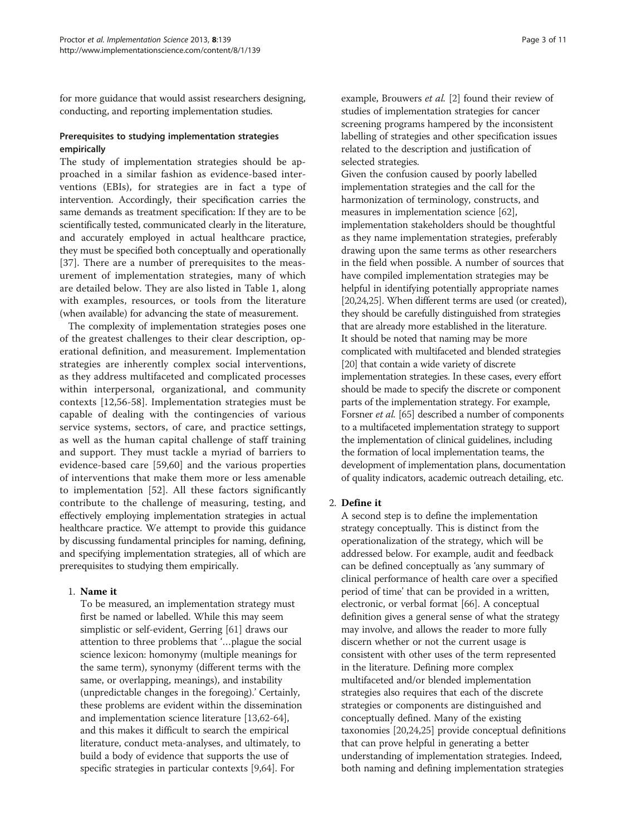for more guidance that would assist researchers designing, conducting, and reporting implementation studies.

# Prerequisites to studying implementation strategies empirically

The study of implementation strategies should be approached in a similar fashion as evidence-based interventions (EBIs), for strategies are in fact a type of intervention. Accordingly, their specification carries the same demands as treatment specification: If they are to be scientifically tested, communicated clearly in the literature, and accurately employed in actual healthcare practice, they must be specified both conceptually and operationally [[37\]](#page-8-0). There are a number of prerequisites to the measurement of implementation strategies, many of which are detailed below. They are also listed in Table [1,](#page-3-0) along with examples, resources, or tools from the literature (when available) for advancing the state of measurement.

The complexity of implementation strategies poses one of the greatest challenges to their clear description, operational definition, and measurement. Implementation strategies are inherently complex social interventions, as they address multifaceted and complicated processes within interpersonal, organizational, and community contexts [[12,](#page-8-0)[56-58\]](#page-9-0). Implementation strategies must be capable of dealing with the contingencies of various service systems, sectors, of care, and practice settings, as well as the human capital challenge of staff training and support. They must tackle a myriad of barriers to evidence-based care [\[59,60\]](#page-9-0) and the various properties of interventions that make them more or less amenable to implementation [[52](#page-9-0)]. All these factors significantly contribute to the challenge of measuring, testing, and effectively employing implementation strategies in actual healthcare practice. We attempt to provide this guidance by discussing fundamental principles for naming, defining, and specifying implementation strategies, all of which are prerequisites to studying them empirically.

# 1. Name it

To be measured, an implementation strategy must first be named or labelled. While this may seem simplistic or self-evident, Gerring [\[61](#page-9-0)] draws our attention to three problems that '…plague the social science lexicon: homonymy (multiple meanings for the same term), synonymy (different terms with the same, or overlapping, meanings), and instability (unpredictable changes in the foregoing).' Certainly, these problems are evident within the dissemination and implementation science literature [[13,](#page-8-0)[62](#page-9-0)-[64\]](#page-9-0), and this makes it difficult to search the empirical literature, conduct meta-analyses, and ultimately, to build a body of evidence that supports the use of specific strategies in particular contexts [[9](#page-8-0)[,64](#page-9-0)]. For

example, Brouwers et al. [[2](#page-8-0)] found their review of studies of implementation strategies for cancer screening programs hampered by the inconsistent labelling of strategies and other specification issues related to the description and justification of selected strategies.

Given the confusion caused by poorly labelled implementation strategies and the call for the harmonization of terminology, constructs, and measures in implementation science [[62](#page-9-0)], implementation stakeholders should be thoughtful as they name implementation strategies, preferably drawing upon the same terms as other researchers in the field when possible. A number of sources that have compiled implementation strategies may be helpful in identifying potentially appropriate names [\[20,24,25\]](#page-8-0). When different terms are used (or created), they should be carefully distinguished from strategies that are already more established in the literature. It should be noted that naming may be more complicated with multifaceted and blended strategies [\[20\]](#page-8-0) that contain a wide variety of discrete implementation strategies. In these cases, every effort should be made to specify the discrete or component parts of the implementation strategy. For example, Forsner et al. [[65](#page-9-0)] described a number of components to a multifaceted implementation strategy to support the implementation of clinical guidelines, including the formation of local implementation teams, the development of implementation plans, documentation of quality indicators, academic outreach detailing, etc.

# 2. Define it

A second step is to define the implementation strategy conceptually. This is distinct from the operationalization of the strategy, which will be addressed below. For example, audit and feedback can be defined conceptually as 'any summary of clinical performance of health care over a specified period of time' that can be provided in a written, electronic, or verbal format [\[66\]](#page-9-0). A conceptual definition gives a general sense of what the strategy may involve, and allows the reader to more fully discern whether or not the current usage is consistent with other uses of the term represented in the literature. Defining more complex multifaceted and/or blended implementation strategies also requires that each of the discrete strategies or components are distinguished and conceptually defined. Many of the existing taxonomies [[20,24,25\]](#page-8-0) provide conceptual definitions that can prove helpful in generating a better understanding of implementation strategies. Indeed, both naming and defining implementation strategies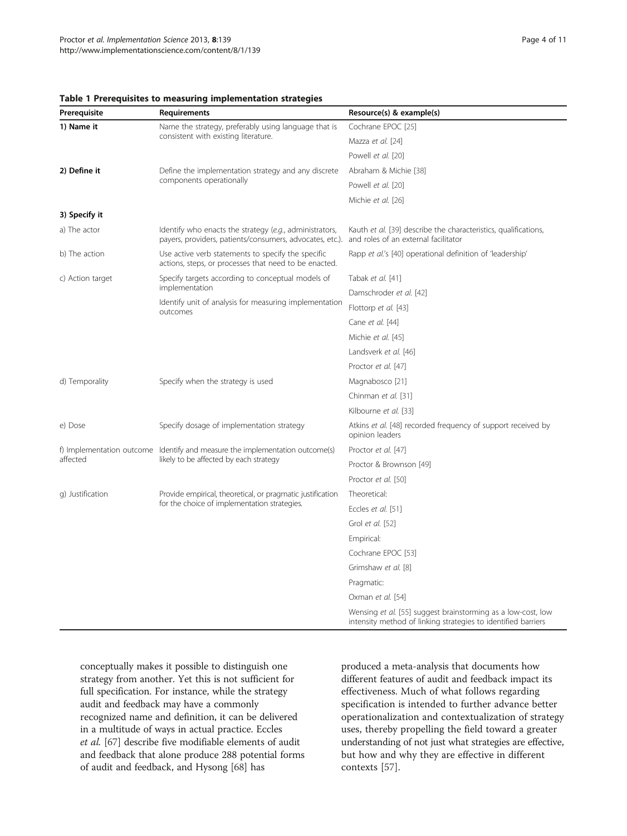| Prerequisite     | Requirements                                                                                                           | Resource(s) & example(s)                                                                                                      |
|------------------|------------------------------------------------------------------------------------------------------------------------|-------------------------------------------------------------------------------------------------------------------------------|
| 1) Name it       | Name the strategy, preferably using language that is<br>consistent with existing literature.                           | Cochrane EPOC [25]                                                                                                            |
|                  |                                                                                                                        | Mazza et al. [24]                                                                                                             |
|                  |                                                                                                                        | Powell et al. [20]                                                                                                            |
| 2) Define it     | Define the implementation strategy and any discrete<br>components operationally                                        | Abraham & Michie [38]                                                                                                         |
|                  |                                                                                                                        | Powell et al. [20]                                                                                                            |
|                  |                                                                                                                        | Michie et al. [26]                                                                                                            |
| 3) Specify it    |                                                                                                                        |                                                                                                                               |
| a) The actor     | Identify who enacts the strategy (e.g., administrators,<br>payers, providers, patients/consumers, advocates, etc.).    | Kauth et al. [39] describe the characteristics, qualifications,<br>and roles of an external facilitator                       |
| b) The action    | Use active verb statements to specify the specific<br>actions, steps, or processes that need to be enacted.            | Rapp et al.'s [40] operational definition of 'leadership'                                                                     |
| c) Action target | Specify targets according to conceptual models of                                                                      | Tabak et al. [41]                                                                                                             |
|                  | implementation<br>Identify unit of analysis for measuring implementation<br>outcomes                                   | Damschroder et al. [42]                                                                                                       |
|                  |                                                                                                                        | Flottorp et al. [43]                                                                                                          |
|                  |                                                                                                                        | Cane et al. [44]                                                                                                              |
|                  |                                                                                                                        | Michie et al. [45]                                                                                                            |
|                  |                                                                                                                        | Landsverk et al. [46]                                                                                                         |
|                  |                                                                                                                        | Proctor et al. [47]                                                                                                           |
| d) Temporality   | Specify when the strategy is used                                                                                      | Magnabosco [21]                                                                                                               |
|                  |                                                                                                                        | Chinman et al. [31]                                                                                                           |
|                  |                                                                                                                        | Kilbourne et al. [33]                                                                                                         |
| e) Dose          | Specify dosage of implementation strategy                                                                              | Atkins et al. [48] recorded frequency of support received by<br>opinion leaders                                               |
|                  | f) Implementation outcome Identify and measure the implementation outcome(s)<br>likely to be affected by each strategy | Proctor et al. [47]                                                                                                           |
| affected         |                                                                                                                        | Proctor & Brownson [49]                                                                                                       |
|                  |                                                                                                                        | Proctor et al. [50]                                                                                                           |
| g) Justification | Provide empirical, theoretical, or pragmatic justification<br>for the choice of implementation strategies.             | Theoretical:                                                                                                                  |
|                  |                                                                                                                        | Eccles et al. [51]                                                                                                            |
|                  |                                                                                                                        | Grol et al. [52]                                                                                                              |
|                  |                                                                                                                        | Empirical:                                                                                                                    |
|                  |                                                                                                                        | Cochrane EPOC [53]                                                                                                            |
|                  |                                                                                                                        | Grimshaw et al. [8]                                                                                                           |
|                  |                                                                                                                        | Pragmatic:                                                                                                                    |
|                  |                                                                                                                        | Oxman et al. [54]                                                                                                             |
|                  |                                                                                                                        | Wensing et al. [55] suggest brainstorming as a low-cost, low<br>intensity method of linking strategies to identified barriers |

#### <span id="page-3-0"></span>Table 1 Prerequisites to measuring implementation strategies

conceptually makes it possible to distinguish one strategy from another. Yet this is not sufficient for full specification. For instance, while the strategy audit and feedback may have a commonly recognized name and definition, it can be delivered in a multitude of ways in actual practice. Eccles et al. [\[67\]](#page-9-0) describe five modifiable elements of audit and feedback that alone produce 288 potential forms of audit and feedback, and Hysong [\[68\]](#page-9-0) has

produced a meta-analysis that documents how different features of audit and feedback impact its effectiveness. Much of what follows regarding specification is intended to further advance better operationalization and contextualization of strategy uses, thereby propelling the field toward a greater understanding of not just what strategies are effective, but how and why they are effective in different contexts [\[57](#page-9-0)].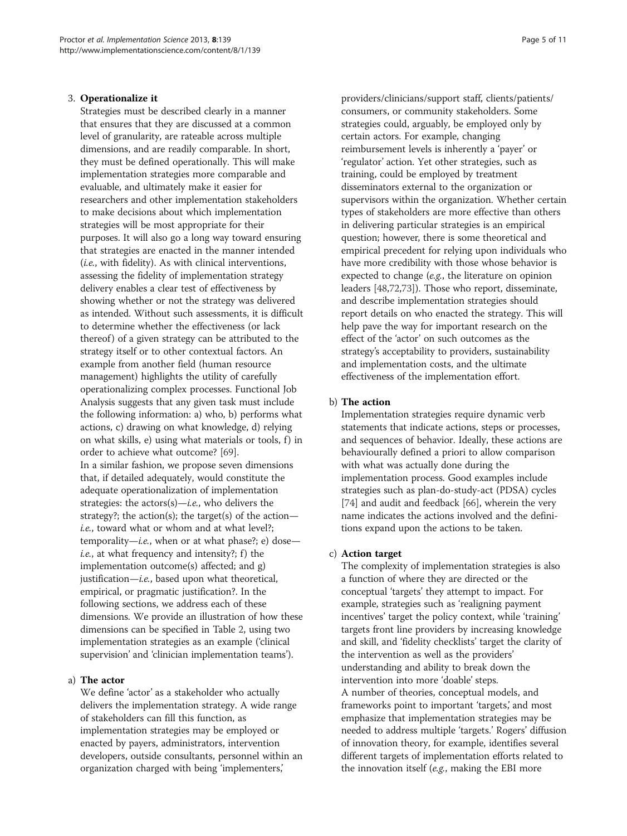#### 3. Operationalize it

Strategies must be described clearly in a manner that ensures that they are discussed at a common level of granularity, are rateable across multiple dimensions, and are readily comparable. In short, they must be defined operationally. This will make implementation strategies more comparable and evaluable, and ultimately make it easier for researchers and other implementation stakeholders to make decisions about which implementation strategies will be most appropriate for their purposes. It will also go a long way toward ensuring that strategies are enacted in the manner intended (i.e., with fidelity). As with clinical interventions, assessing the fidelity of implementation strategy delivery enables a clear test of effectiveness by showing whether or not the strategy was delivered as intended. Without such assessments, it is difficult to determine whether the effectiveness (or lack thereof) of a given strategy can be attributed to the strategy itself or to other contextual factors. An example from another field (human resource management) highlights the utility of carefully operationalizing complex processes. Functional Job Analysis suggests that any given task must include the following information: a) who, b) performs what actions, c) drawing on what knowledge, d) relying on what skills, e) using what materials or tools, f) in order to achieve what outcome? [\[69\]](#page-9-0). In a similar fashion, we propose seven dimensions that, if detailed adequately, would constitute the adequate operationalization of implementation strategies: the  $\arccos(s) - i.e.$ , who delivers the strategy?; the action(s); the target(s) of the action i.e., toward what or whom and at what level?; temporality—*i.e.*, when or at what phase?; e) dose *i.e.*, at what frequency and intensity?;  $f$ ) the implementation outcome(s) affected; and g) justification—*i.e.*, based upon what theoretical, empirical, or pragmatic justification?. In the following sections, we address each of these dimensions. We provide an illustration of how these dimensions can be specified in Table [2](#page-5-0), using two implementation strategies as an example ('clinical supervision' and 'clinician implementation teams').

# a) The actor

We define 'actor' as a stakeholder who actually delivers the implementation strategy. A wide range of stakeholders can fill this function, as implementation strategies may be employed or enacted by payers, administrators, intervention developers, outside consultants, personnel within an organization charged with being 'implementers,'

providers/clinicians/support staff, clients/patients/ consumers, or community stakeholders. Some strategies could, arguably, be employed only by certain actors. For example, changing reimbursement levels is inherently a 'payer' or 'regulator' action. Yet other strategies, such as training, could be employed by treatment disseminators external to the organization or supervisors within the organization. Whether certain types of stakeholders are more effective than others in delivering particular strategies is an empirical question; however, there is some theoretical and empirical precedent for relying upon individuals who have more credibility with those whose behavior is expected to change (e.g., the literature on opinion leaders [\[48,72,73](#page-9-0)]). Those who report, disseminate, and describe implementation strategies should report details on who enacted the strategy. This will help pave the way for important research on the effect of the 'actor' on such outcomes as the strategy's acceptability to providers, sustainability and implementation costs, and the ultimate effectiveness of the implementation effort.

# b) The action

Implementation strategies require dynamic verb statements that indicate actions, steps or processes, and sequences of behavior. Ideally, these actions are behaviourally defined a priori to allow comparison with what was actually done during the implementation process. Good examples include strategies such as plan-do-study-act (PDSA) cycles [[74](#page-9-0)] and audit and feedback [[66](#page-9-0)], wherein the very name indicates the actions involved and the definitions expand upon the actions to be taken.

# c) Action target

The complexity of implementation strategies is also a function of where they are directed or the conceptual 'targets' they attempt to impact. For example, strategies such as 'realigning payment incentives' target the policy context, while 'training' targets front line providers by increasing knowledge and skill, and 'fidelity checklists' target the clarity of the intervention as well as the providers' understanding and ability to break down the intervention into more 'doable' steps. A number of theories, conceptual models, and frameworks point to important 'targets,' and most emphasize that implementation strategies may be needed to address multiple 'targets.' Rogers' diffusion of innovation theory, for example, identifies several different targets of implementation efforts related to the innovation itself (e.g., making the EBI more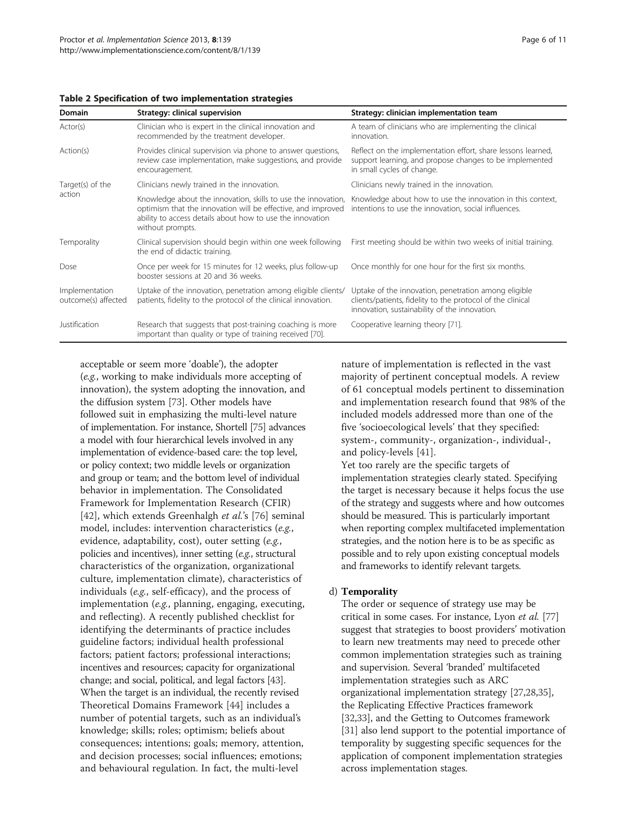| Domain                                | Strategy: clinical supervision                                                                                                                                                                                 | Strategy: clinician implementation team                                                                                                                             |
|---------------------------------------|----------------------------------------------------------------------------------------------------------------------------------------------------------------------------------------------------------------|---------------------------------------------------------------------------------------------------------------------------------------------------------------------|
| Actor(s)                              | Clinician who is expert in the clinical innovation and<br>recommended by the treatment developer.                                                                                                              | A team of clinicians who are implementing the clinical<br>innovation.                                                                                               |
| Action(s)                             | Provides clinical supervision via phone to answer questions,<br>review case implementation, make suggestions, and provide<br>encouragement.                                                                    | Reflect on the implementation effort, share lessons learned,<br>support learning, and propose changes to be implemented<br>in small cycles of change.               |
| Target(s) of the<br>action            | Clinicians newly trained in the innovation.                                                                                                                                                                    | Clinicians newly trained in the innovation.                                                                                                                         |
|                                       | Knowledge about the innovation, skills to use the innovation,<br>optimism that the innovation will be effective, and improved<br>ability to access details about how to use the innovation<br>without prompts. | Knowledge about how to use the innovation in this context,<br>intentions to use the innovation, social influences.                                                  |
| Temporality                           | Clinical supervision should begin within one week following<br>the end of didactic training.                                                                                                                   | First meeting should be within two weeks of initial training.                                                                                                       |
| Dose                                  | Once per week for 15 minutes for 12 weeks, plus follow-up<br>booster sessions at 20 and 36 weeks.                                                                                                              | Once monthly for one hour for the first six months.                                                                                                                 |
| Implementation<br>outcome(s) affected | Uptake of the innovation, penetration among eligible clients/<br>patients, fidelity to the protocol of the clinical innovation.                                                                                | Uptake of the innovation, penetration among eligible<br>clients/patients, fidelity to the protocol of the clinical<br>innovation, sustainability of the innovation. |
| Justification                         | Research that suggests that post-training coaching is more<br>important than quality or type of training received [70].                                                                                        | Cooperative learning theory [71].                                                                                                                                   |

# <span id="page-5-0"></span>Table 2 Specification of two implementation strategies

acceptable or seem more 'doable'), the adopter (e.g., working to make individuals more accepting of innovation), the system adopting the innovation, and the diffusion system [\[73\]](#page-9-0). Other models have followed suit in emphasizing the multi-level nature of implementation. For instance, Shortell [\[75\]](#page-9-0) advances a model with four hierarchical levels involved in any implementation of evidence-based care: the top level, or policy context; two middle levels or organization and group or team; and the bottom level of individual behavior in implementation. The Consolidated Framework for Implementation Research (CFIR) [[42](#page-9-0)], which extends Greenhalgh et al.'s [\[76](#page-9-0)] seminal model, includes: intervention characteristics (e.g., evidence, adaptability, cost), outer setting (e.g., policies and incentives), inner setting (e.g., structural characteristics of the organization, organizational culture, implementation climate), characteristics of individuals (e.g., self-efficacy), and the process of implementation (e.g., planning, engaging, executing, and reflecting). A recently published checklist for identifying the determinants of practice includes guideline factors; individual health professional factors; patient factors; professional interactions; incentives and resources; capacity for organizational change; and social, political, and legal factors [\[43](#page-9-0)]. When the target is an individual, the recently revised Theoretical Domains Framework [\[44](#page-9-0)] includes a number of potential targets, such as an individual's knowledge; skills; roles; optimism; beliefs about consequences; intentions; goals; memory, attention, and decision processes; social influences; emotions; and behavioural regulation. In fact, the multi-level

nature of implementation is reflected in the vast majority of pertinent conceptual models. A review of 61 conceptual models pertinent to dissemination and implementation research found that 98% of the included models addressed more than one of the five 'socioecological levels' that they specified: system-, community-, organization-, individual-, and policy-levels [[41\]](#page-9-0).

Yet too rarely are the specific targets of implementation strategies clearly stated. Specifying the target is necessary because it helps focus the use of the strategy and suggests where and how outcomes should be measured. This is particularly important when reporting complex multifaceted implementation strategies, and the notion here is to be as specific as possible and to rely upon existing conceptual models and frameworks to identify relevant targets.

#### d) Temporality

The order or sequence of strategy use may be critical in some cases. For instance, Lyon et al. [[77](#page-9-0)] suggest that strategies to boost providers' motivation to learn new treatments may need to precede other common implementation strategies such as training and supervision. Several 'branded' multifaceted implementation strategies such as ARC organizational implementation strategy [[27](#page-8-0),[28,35](#page-8-0)], the Replicating Effective Practices framework [[32,33\]](#page-8-0), and the Getting to Outcomes framework [[31](#page-8-0)] also lend support to the potential importance of temporality by suggesting specific sequences for the application of component implementation strategies across implementation stages.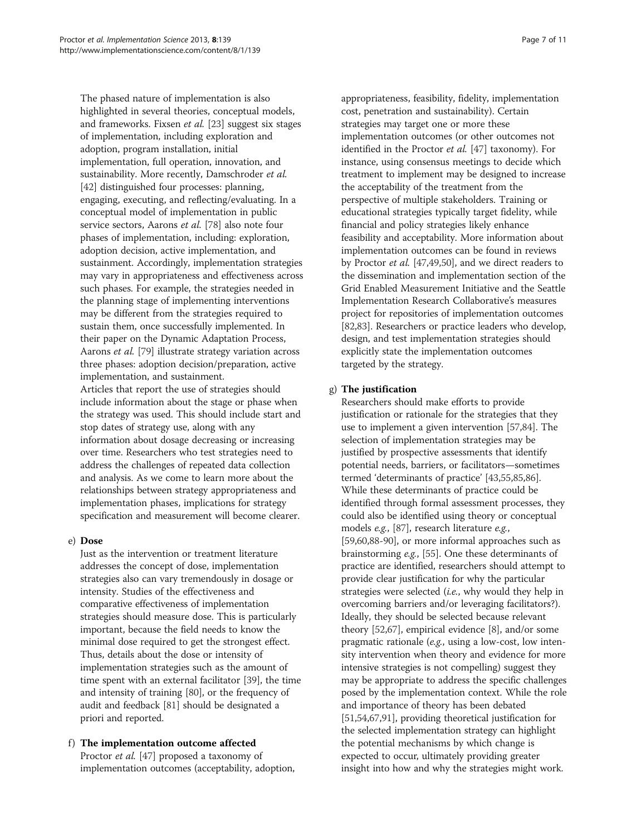The phased nature of implementation is also highlighted in several theories, conceptual models, and frameworks. Fixsen et al. [[23](#page-8-0)] suggest six stages of implementation, including exploration and adoption, program installation, initial implementation, full operation, innovation, and sustainability. More recently, Damschroder et al. [\[42](#page-9-0)] distinguished four processes: planning, engaging, executing, and reflecting/evaluating. In a conceptual model of implementation in public service sectors, Aarons et al. [[78](#page-9-0)] also note four phases of implementation, including: exploration, adoption decision, active implementation, and sustainment. Accordingly, implementation strategies may vary in appropriateness and effectiveness across such phases. For example, the strategies needed in the planning stage of implementing interventions may be different from the strategies required to sustain them, once successfully implemented. In their paper on the Dynamic Adaptation Process, Aarons et al. [\[79\]](#page-9-0) illustrate strategy variation across three phases: adoption decision/preparation, active implementation, and sustainment. Articles that report the use of strategies should include information about the stage or phase when the strategy was used. This should include start and stop dates of strategy use, along with any information about dosage decreasing or increasing over time. Researchers who test strategies need to address the challenges of repeated data collection and analysis. As we come to learn more about the relationships between strategy appropriateness and implementation phases, implications for strategy

# e) Dose

Just as the intervention or treatment literature addresses the concept of dose, implementation strategies also can vary tremendously in dosage or intensity. Studies of the effectiveness and comparative effectiveness of implementation strategies should measure dose. This is particularly important, because the field needs to know the minimal dose required to get the strongest effect. Thus, details about the dose or intensity of implementation strategies such as the amount of time spent with an external facilitator [\[39](#page-8-0)], the time and intensity of training [\[80\]](#page-9-0), or the frequency of audit and feedback [\[81\]](#page-9-0) should be designated a priori and reported.

specification and measurement will become clearer.

# f) The implementation outcome affected Proctor *et al.* [\[47](#page-9-0)] proposed a taxonomy of implementation outcomes (acceptability, adoption,

appropriateness, feasibility, fidelity, implementation cost, penetration and sustainability). Certain strategies may target one or more these implementation outcomes (or other outcomes not identified in the Proctor et al. [\[47\]](#page-9-0) taxonomy). For instance, using consensus meetings to decide which treatment to implement may be designed to increase the acceptability of the treatment from the perspective of multiple stakeholders. Training or educational strategies typically target fidelity, while financial and policy strategies likely enhance feasibility and acceptability. More information about implementation outcomes can be found in reviews by Proctor et al. [[47](#page-9-0),[49,50\]](#page-9-0), and we direct readers to the dissemination and implementation section of the Grid Enabled Measurement Initiative and the Seattle Implementation Research Collaborative's measures project for repositories of implementation outcomes [[82,83\]](#page-9-0). Researchers or practice leaders who develop, design, and test implementation strategies should explicitly state the implementation outcomes targeted by the strategy.

# g) The justification

Researchers should make efforts to provide justification or rationale for the strategies that they use to implement a given intervention [\[57,84\]](#page-9-0). The selection of implementation strategies may be justified by prospective assessments that identify potential needs, barriers, or facilitators—sometimes termed 'determinants of practice' [\[43,55,85](#page-9-0)[,86](#page-10-0)]. While these determinants of practice could be identified through formal assessment processes, they could also be identified using theory or conceptual models e.g., [\[87\]](#page-10-0), research literature e.g., [[59,60,](#page-9-0)[88-90\]](#page-10-0), or more informal approaches such as brainstorming e.g., [\[55\]](#page-9-0). One these determinants of practice are identified, researchers should attempt to provide clear justification for why the particular strategies were selected (*i.e.*, why would they help in overcoming barriers and/or leveraging facilitators?). Ideally, they should be selected because relevant theory [\[52,67\]](#page-9-0), empirical evidence [[8\]](#page-8-0), and/or some pragmatic rationale (e.g., using a low-cost, low intensity intervention when theory and evidence for more intensive strategies is not compelling) suggest they may be appropriate to address the specific challenges posed by the implementation context. While the role and importance of theory has been debated [[51,54,67,](#page-9-0)[91](#page-10-0)], providing theoretical justification for the selected implementation strategy can highlight the potential mechanisms by which change is expected to occur, ultimately providing greater insight into how and why the strategies might work.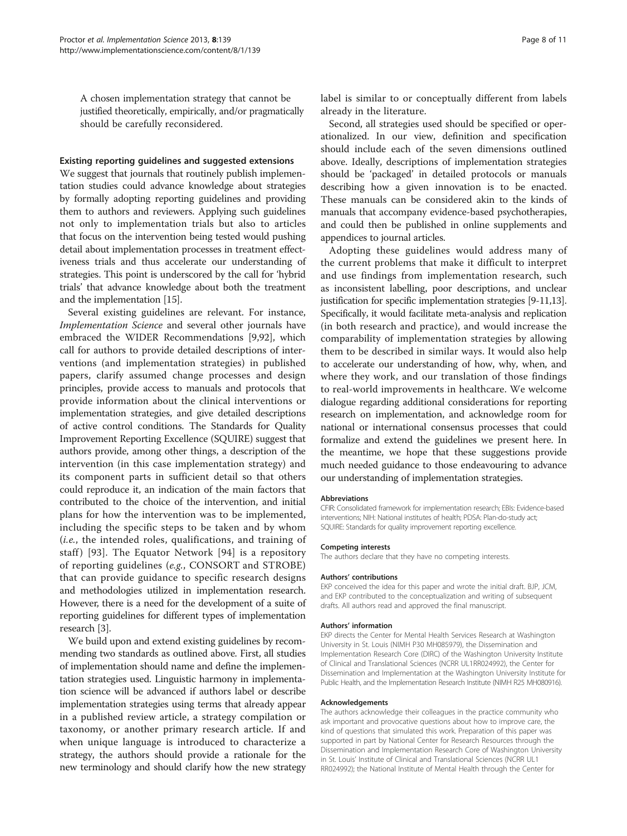A chosen implementation strategy that cannot be justified theoretically, empirically, and/or pragmatically should be carefully reconsidered.

#### Existing reporting guidelines and suggested extensions

We suggest that journals that routinely publish implementation studies could advance knowledge about strategies by formally adopting reporting guidelines and providing them to authors and reviewers. Applying such guidelines not only to implementation trials but also to articles that focus on the intervention being tested would pushing detail about implementation processes in treatment effectiveness trials and thus accelerate our understanding of strategies. This point is underscored by the call for 'hybrid trials' that advance knowledge about both the treatment and the implementation [\[15\]](#page-8-0).

Several existing guidelines are relevant. For instance, Implementation Science and several other journals have embraced the WIDER Recommendations [\[9](#page-8-0)[,92](#page-10-0)], which call for authors to provide detailed descriptions of interventions (and implementation strategies) in published papers, clarify assumed change processes and design principles, provide access to manuals and protocols that provide information about the clinical interventions or implementation strategies, and give detailed descriptions of active control conditions. The Standards for Quality Improvement Reporting Excellence (SQUIRE) suggest that authors provide, among other things, a description of the intervention (in this case implementation strategy) and its component parts in sufficient detail so that others could reproduce it, an indication of the main factors that contributed to the choice of the intervention, and initial plans for how the intervention was to be implemented, including the specific steps to be taken and by whom (i.e., the intended roles, qualifications, and training of staff) [[93\]](#page-10-0). The Equator Network  $[94]$  $[94]$  is a repository of reporting guidelines (e.g., CONSORT and STROBE) that can provide guidance to specific research designs and methodologies utilized in implementation research. However, there is a need for the development of a suite of reporting guidelines for different types of implementation research [[3](#page-8-0)].

We build upon and extend existing guidelines by recommending two standards as outlined above. First, all studies of implementation should name and define the implementation strategies used. Linguistic harmony in implementation science will be advanced if authors label or describe implementation strategies using terms that already appear in a published review article, a strategy compilation or taxonomy, or another primary research article. If and when unique language is introduced to characterize a strategy, the authors should provide a rationale for the new terminology and should clarify how the new strategy label is similar to or conceptually different from labels already in the literature.

Second, all strategies used should be specified or operationalized. In our view, definition and specification should include each of the seven dimensions outlined above. Ideally, descriptions of implementation strategies should be 'packaged' in detailed protocols or manuals describing how a given innovation is to be enacted. These manuals can be considered akin to the kinds of manuals that accompany evidence-based psychotherapies, and could then be published in online supplements and appendices to journal articles.

Adopting these guidelines would address many of the current problems that make it difficult to interpret and use findings from implementation research, such as inconsistent labelling, poor descriptions, and unclear justification for specific implementation strategies [[9](#page-8-0)-[11,13](#page-8-0)]. Specifically, it would facilitate meta-analysis and replication (in both research and practice), and would increase the comparability of implementation strategies by allowing them to be described in similar ways. It would also help to accelerate our understanding of how, why, when, and where they work, and our translation of those findings to real-world improvements in healthcare. We welcome dialogue regarding additional considerations for reporting research on implementation, and acknowledge room for national or international consensus processes that could formalize and extend the guidelines we present here. In the meantime, we hope that these suggestions provide much needed guidance to those endeavouring to advance our understanding of implementation strategies.

#### Abbreviations

CFIR: Consolidated framework for implementation research; EBIs: Evidence-based interventions; NIH: National institutes of health; PDSA: Plan-do-study act; SQUIRE: Standards for quality improvement reporting excellence.

#### Competing interests

The authors declare that they have no competing interests.

#### Authors' contributions

EKP conceived the idea for this paper and wrote the initial draft. BJP, JCM, and EKP contributed to the conceptualization and writing of subsequent drafts. All authors read and approved the final manuscript.

#### Authors' information

EKP directs the Center for Mental Health Services Research at Washington University in St. Louis (NIMH P30 MH085979), the Dissemination and Implementation Research Core (DIRC) of the Washington University Institute of Clinical and Translational Sciences (NCRR UL1RR024992), the Center for Dissemination and Implementation at the Washington University Institute for Public Health, and the Implementation Research Institute (NIMH R25 MH080916).

#### Acknowledgements

The authors acknowledge their colleagues in the practice community who ask important and provocative questions about how to improve care, the kind of questions that simulated this work. Preparation of this paper was supported in part by National Center for Research Resources through the Dissemination and Implementation Research Core of Washington University in St. Louis' Institute of Clinical and Translational Sciences (NCRR UL1 RR024992); the National Institute of Mental Health through the Center for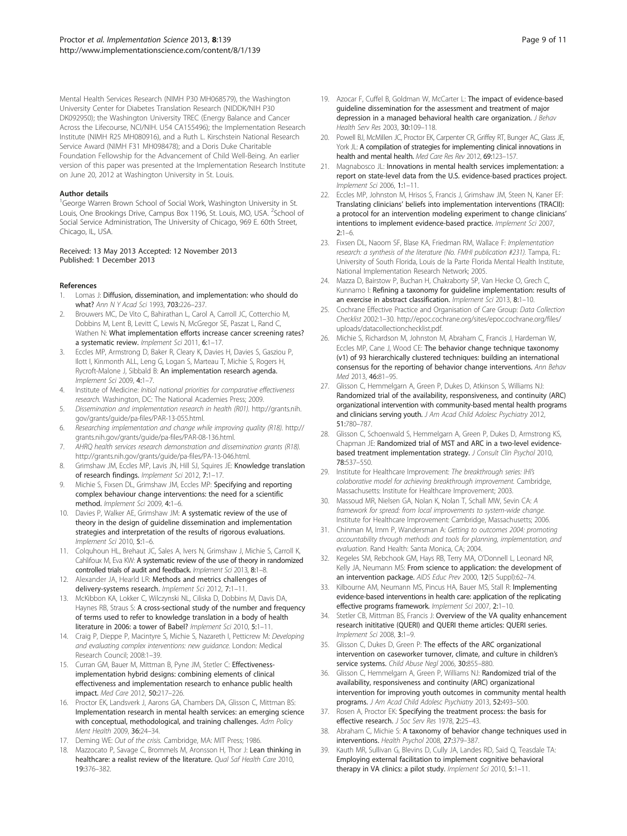<span id="page-8-0"></span>Mental Health Services Research (NIMH P30 MH068579), the Washington University Center for Diabetes Translation Research (NIDDK/NIH P30 DK092950); the Washington University TREC (Energy Balance and Cancer Across the Lifecourse, NCI/NIH. U54 CA155496); the Implementation Research Institute (NIMH R25 MH080916), and a Ruth L. Kirschstein National Research Service Award (NIMH F31 MH098478); and a Doris Duke Charitable Foundation Fellowship for the Advancement of Child Well-Being. An earlier version of this paper was presented at the Implementation Research Institute on June 20, 2012 at Washington University in St. Louis.

#### Author details

<sup>1</sup>George Warren Brown School of Social Work, Washington University in St. Louis, One Brookings Drive, Campus Box 1196, St. Louis, MO, USA. <sup>2</sup>School of Social Service Administration, The University of Chicago, 969 E. 60th Street, Chicago, IL, USA.

#### Received: 13 May 2013 Accepted: 12 November 2013 Published: 1 December 2013

#### References

- Lomas J: Diffusion, dissemination, and implementation: who should do what? Ann N Y Acad Sci 1993, **703:**226-237.
- 2. Brouwers MC, De Vito C, Bahirathan L, Carol A, Carroll JC, Cotterchio M, Dobbins M, Lent B, Levitt C, Lewis N, McGregor SE, Paszat L, Rand C, Wathen N: What implementation efforts increase cancer screening rates? a systematic review. Implement Sci 2011, 6:1–17.
- 3. Eccles MP, Armstrong D, Baker R, Cleary K, Davies H, Davies S, Gasziou P, Ilott I, Kinmonth ALL, Leng G, Logan S, Marteau T, Michie S, Rogers H, Rycroft-Malone J, Sibbald B: An implementation research agenda. Implement Sci 2009, 4:1–7.
- 4. Institute of Medicine: Initial national priorities for comparative effectiveness research. Washington, DC: The National Academies Press; 2009.
- 5. Dissemination and implementation research in health (R01). [http://grants.nih.](http://grants.nih.gov/grants/guide/pa-files/PAR-13-055.html) [gov/grants/guide/pa-files/PAR-13-055.html](http://grants.nih.gov/grants/guide/pa-files/PAR-13-055.html).
- 6. Researching implementation and change while improving quality (R18). [http://](http://grants.nih.gov/grants/guide/pa-files/PAR-08-136.html) [grants.nih.gov/grants/guide/pa-files/PAR-08-136.html](http://grants.nih.gov/grants/guide/pa-files/PAR-08-136.html).
- 7. AHRQ health services research demonstration and dissemination grants (R18). [http://grants.nih.gov/grants/guide/pa-files/PA-13-046.html.](http://grants.nih.gov/grants/guide/pa-files/PA-13-046.html)
- 8. Grimshaw JM, Eccles MP, Lavis JN, Hill SJ, Squires JE: Knowledge translation of research findings. Implement Sci 2012, 7:1–17.
- Michie S, Fixsen DL, Grimshaw JM, Eccles MP: Specifying and reporting complex behaviour change interventions: the need for a scientific method. Implement Sci 2009, 4:1–6.
- 10. Davies P, Walker AE, Grimshaw JM: A systematic review of the use of theory in the design of guideline dissemination and implementation strategies and interpretation of the results of rigorous evaluations. Implement Sci 2010, 5:1–6.
- 11. Colquhoun HL, Brehaut JC, Sales A, Ivers N, Grimshaw J, Michie S, Carroll K, Cahlifoux M, Eva KW: A systematic review of the use of theory in randomized controlled trials of audit and feedback. Implement Sci 2013, 8:1-8.
- 12. Alexander JA, Hearld LR: Methods and metrics challenges of delivery-systems research. Implement Sci 2012, 7:1-11
- 13. McKibbon KA, Lokker C, Wilczynski NL, Ciliska D, Dobbins M, Davis DA, Haynes RB, Straus S: A cross-sectional study of the number and frequency of terms used to refer to knowledge translation in a body of health literature in 2006: a tower of Babel? Implement Sci 2010, 5:1–11.
- 14. Craig P, Dieppe P, Macintyre S, Michie S, Nazareth I, Petticrew M: Developing and evaluating complex interventions: new guidance. London: Medical Research Council; 2008:1–39.
- 15. Curran GM, Bauer M, Mittman B, Pyne JM, Stetler C: Effectivenessimplementation hybrid designs: combining elements of clinical effectiveness and implementation research to enhance public health impact. Med Care 2012, 50:217–226.
- 16. Proctor EK, Landsverk J, Aarons GA, Chambers DA, Glisson C, Mittman BS: Implementation research in mental health services: an emerging science with conceptual, methodological, and training challenges. Adm Policy Ment Health 2009, 36:24–34.
- 17. Deming WE: Out of the crisis. Cambridge, MA: MIT Press; 1986.
- 18. Mazzocato P, Savage C, Brommels M, Aronsson H, Thor J: Lean thinking in healthcare: a realist review of the literature. Qual Saf Health Care 2010, 19:376–382.
- 19. Azocar F, Cuffel B, Goldman W, McCarter L: The impact of evidence-based guideline dissemination for the assessment and treatment of major depression in a managed behavioral health care organization. J Behav Health Serv Res 2003, 30:109–118.
- 20. Powell BJ, McMillen JC, Proctor EK, Carpenter CR, Griffey RT, Bunger AC, Glass JE, York JL: A compilation of strategies for implementing clinical innovations in health and mental health. Med Care Res Rev 2012, 69:123–157.
- Magnabosco JL: Innovations in mental health services implementation: a report on state-level data from the U.S. evidence-based practices project. Implement Sci 2006, 1:1–11.
- 22. Eccles MP, Johnston M, Hrisos S, Francis J, Grimshaw JM, Steen N, Kaner EF: Translating clinicians' beliefs into implementation interventions (TRACII): a protocol for an intervention modeling experiment to change clinicians' intentions to implement evidence-based practice. Implement Sci 2007,  $2:1-6$
- 23. Fixsen DL, Naoom SF, Blase KA, Friedman RM, Wallace F: Implementation research: a synthesis of the literature (No. FMHI publication #231). Tampa, FL: University of South Florida, Louis de la Parte Florida Mental Health Institute, National Implementation Research Network; 2005.
- 24. Mazza D, Bairstow P, Buchan H, Chakraborty SP, Van Hecke O, Grech C, Kunnamo I: Refining a taxonomy for quideline implementation: results of an exercise in abstract classification. Implement Sci 2013, 8:1-10.
- 25. Cochrane Effective Practice and Organisation of Care Group: Data Collection Checklist 2002:1–30. [http://epoc.cochrane.org/sites/epoc.cochrane.org/files/](http://epoc.cochrane.org/sites/epoc.cochrane.org/files/uploads/datacollectionchecklist.pdf) [uploads/datacollectionchecklist.pdf.](http://epoc.cochrane.org/sites/epoc.cochrane.org/files/uploads/datacollectionchecklist.pdf)
- 26. Michie S, Richardson M, Johnston M, Abraham C, Francis J, Hardeman W, Eccles MP, Cane J, Wood CE: The behavior change technique taxonomy (v1) of 93 hierarchically clustered techniques: building an international consensus for the reporting of behavior change interventions. Ann Behav Med 2013, 46:81–95.
- 27. Glisson C, Hemmelgarn A, Green P, Dukes D, Atkinson S, Williams NJ: Randomized trial of the availability, responsiveness, and continuity (ARC) organizational intervention with community-based mental health programs and clinicians serving youth. J Am Acad Child Adolesc Psychiatry 2012, 51:780–787.
- 28. Glisson C, Schoenwald S, Hemmelgarn A, Green P, Dukes D, Armstrong KS, Chapman JE: Randomized trial of MST and ARC in a two-level evidencebased treatment implementation strategy. J Consult Clin Psychol 2010, 78:537–550.
- 29. Institute for Healthcare Improvement: The breakthrough series: IHI's colaborative model for achieving breakthrough improvement. Cambridge, Massachusetts: Institute for Healthcare Improvement; 2003.
- 30. Massoud MR, Nielsen GA, Nolan K, Nolan T, Schall MW, Sevin CA: A framework for spread: from local improvements to system-wide change. Institute for Healthcare Improvement: Cambridge, Massachusetts; 2006.
- 31. Chinman M, Imm P, Wandersman A: Getting to outcomes 2004: promoting accountability through methods and tools for planning, implementation, and evaluation. Rand Health: Santa Monica, CA; 2004.
- 32. Kegeles SM, Rebchook GM, Hays RB, Terry MA, O'Donnell L, Leonard NR, Kelly JA, Neumann MS: From science to application: the development of an intervention package. AIDS Educ Prev 2000, 12(5 Suppl):62–74.
- 33. Kilbourne AM, Neumann MS, Pincus HA, Bauer MS, Stall R: Implementing evidence-based interventions in health care: application of the replicating effective programs framework. Implement Sci 2007, 2:1–10.
- 34. Stetler CB, Mittman BS, Francis J: Overview of the VA quality enhancement research inititative (QUERI) and QUERI theme articles: QUERI series. Implement Sci 2008, 3:1–9.
- 35. Glisson C, Dukes D, Green P: The effects of the ARC organizational intervention on caseworker turnover, climate, and culture in children's service systems. Child Abuse Negl 2006, 30:855-880.
- 36. Glisson C, Hemmelgarn A, Green P, Williams NJ: Randomized trial of the availability, responsiveness and continuity (ARC) organizational intervention for improving youth outcomes in community mental health programs. J Am Acad Child Adolesc Psychiatry 2013, 52:493-500.
- 37. Rosen A, Proctor EK: Specifying the treatment process: the basis for effective research. J Soc Serv Res 1978, 2:25–43.
- 38. Abraham C, Michie S: A taxonomy of behavior change techniques used in interventions. Health Psychol 2008, 27:379–387.
- 39. Kauth MR, Sullivan G, Blevins D, Cully JA, Landes RD, Said Q, Teasdale TA: Employing external facilitation to implement cognitive behavioral therapy in VA clinics: a pilot study. Implement Sci 2010, 5:1-11.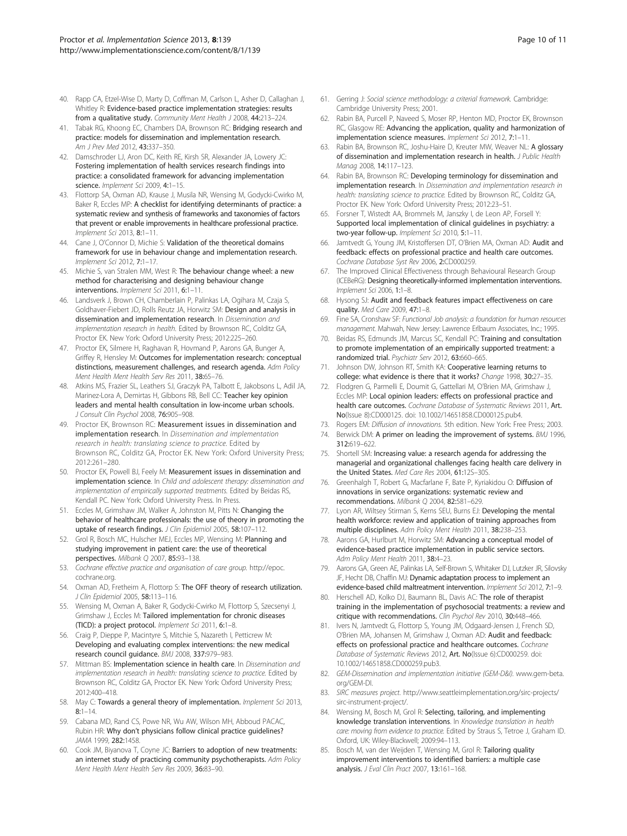- <span id="page-9-0"></span>40. Rapp CA, Etzel-Wise D, Marty D, Coffman M, Carlson L, Asher D, Callaghan J, Whitley R: Evidence-based practice implementation strategies: results from a qualitative study. Community Ment Health J 2008, 44:213-224.
- 41. Tabak RG, Khoong EC, Chambers DA, Brownson RC: Bridging research and practice: models for dissemination and implementation research. Am J Prev Med 2012, 43:337–350.
- 42. Damschroder LJ, Aron DC, Keith RE, Kirsh SR, Alexander JA, Lowery JC: Fostering implementation of health services research findings into practice: a consolidated framework for advancing implementation science. Implement Sci 2009, 4:1-15.
- 43. Flottorp SA, Oxman AD, Krause J, Musila NR, Wensing M, Godycki-Cwirko M, Baker R, Eccles MP: A checklist for identifying determinants of practice: a systematic review and synthesis of frameworks and taxonomies of factors that prevent or enable improvements in healthcare professional practice. Implement Sci 2013, 8:1–11.
- 44. Cane J, O'Connor D, Michie S: Validation of the theoretical domains framework for use in behaviour change and implementation research. Implement Sci 2012, 7:1–17.
- 45. Michie S, van Stralen MM, West R: The behaviour change wheel: a new method for characterising and designing behaviour change interventions. Implement Sci 2011, 6:1–11.
- 46. Landsverk J, Brown CH, Chamberlain P, Palinkas LA, Ogihara M, Czaja S, Goldhaver-Fiebert JD, Rolls Reutz JA, Horwitz SM: Design and analysis in dissemination and implementation research. In Dissemination and implementation research in health. Edited by Brownson RC, Colditz GA, Proctor EK. New York: Oxford University Press; 2012:225–260.
- 47. Proctor EK, Silmere H, Raghavan R, Hovmand P, Aarons GA, Bunger A, Griffey R, Hensley M: Outcomes for implementation research: conceptual distinctions, measurement challenges, and research agenda. Adm Policy Ment Health Ment Health Serv Res 2011, 38:65–76.
- 48. Atkins MS, Frazier SL, Leathers SJ, Graczyk PA, Talbott E, Jakobsons L, Adil JA, Marinez-Lora A, Demirtas H, Gibbons RB, Bell CC: Teacher key opinion leaders and mental health consultation in low-income urban schools. J Consult Clin Psychol 2008, 76:905–908.
- 49. Proctor EK, Brownson RC: Measurement issues in dissemination and implementation research. In Dissemination and implementation research in health: translating science to practice. Edited by Brownson RC, Colditz GA, Proctor EK. New York: Oxford University Press; 2012:261–280.
- 50. Proctor EK, Powell BJ, Feely M: Measurement issues in dissemination and implementation science. In Child and adolescent therapy: dissemination and implementation of empirically supported treatments. Edited by Beidas RS, Kendall PC. New York: Oxford University Press. In Press.
- 51. Eccles M, Grimshaw JM, Walker A, Johnston M, Pitts N: Changing the behavior of healthcare professionals: the use of theory in promoting the uptake of research findings. J Clin Epidemiol 2005, 58:107-112.
- 52. Grol R, Bosch MC, Hulscher MEJ, Eccles MP, Wensing M: Planning and studying improvement in patient care: the use of theoretical perspectives. Milbank Q 2007, 85:93–138.
- 53. Cochrane effective practice and organisation of care group. [http://epoc.](http://epoc.cochrane.org) [cochrane.org.](http://epoc.cochrane.org)
- 54. Oxman AD, Fretheim A, Flottorp S: The OFF theory of research utilization. J Clin Epidemiol 2005, 58:113–116.
- 55. Wensing M, Oxman A, Baker R, Godycki-Cwirko M, Flottorp S, Szecsenyi J, Grimshaw J, Eccles M: Tailored implementation for chronic diseases (TICD): a project protocol. Implement Sci 2011, 6:1–8.
- 56. Craig P, Dieppe P, Macintyre S, Mitchie S, Nazareth I, Petticrew M: Developing and evaluating complex interventions: the new medical research council guidance. BMJ 2008, 337:979–983.
- 57. Mittman BS: Implementation science in health care. In Dissemination and implementation research in health: translating science to practice. Edited by Brownson RC, Colditz GA, Proctor EK. New York: Oxford University Press; 2012:400–418.
- 58. May C: Towards a general theory of implementation. Implement Sci 2013,  $8:1-14$
- 59. Cabana MD, Rand CS, Powe NR, Wu AW, Wilson MH, Abboud PACAC, Rubin HR: Why don't physicians follow clinical practice guidelines? JAMA 1999, 282:1458.
- 60. Cook JM, Biyanova T, Coyne JC: Barriers to adoption of new treatments: an internet study of practicing community psychotherapists. Adm Policy Ment Health Ment Health Serv Res 2009, 36:83–90.
- 61. Gerring J: Social science methodology: a criterial framework. Cambridge: Cambridge University Press; 2001.
- 62. Rabin BA, Purcell P, Naveed S, Moser RP, Henton MD, Proctor EK, Brownson RC, Glasgow RE: Advancing the application, quality and harmonization of implementation science measures. Implement Sci 2012, 7:1–11.
- 63. Rabin BA, Brownson RC, Joshu-Haire D, Kreuter MW, Weaver NL: A glossary of dissemination and implementation research in health. J Public Health Manag 2008, 14:117–123.
- 64. Rabin BA, Brownson RC: Developing terminology for dissemination and implementation research. In Dissemination and implementation research in health: translating science to practice. Edited by Brownson RC, Colditz GA, Proctor EK. New York: Oxford University Press; 2012:23–51.
- 65. Forsner T, Wistedt AA, Brommels M, Janszky I, de Leon AP, Forsell Y: Supported local implementation of clinical guidelines in psychiatry: a two-year follow-up. Implement Sci 2010, 5:1–11.
- Jamtvedt G, Young JM, Kristoffersen DT, O'Brien MA, Oxman AD: Audit and feedback: effects on professional practice and health care outcomes. Cochrane Database Syst Rev 2006, 2:CD000259.
- 67. The Improved Clinical Effectiveness through Behavioural Research Group (ICEBeRG): Designing theoretically-informed implementation interventions. Implement Sci 2006, 1:1–8.
- 68. Hysong SJ: Audit and feedback features impact effectiveness on care quality. Med Care 2009, 47:1–8.
- 69. Fine SA, Cronshaw SF: Functional Job analysis: a foundation for human resources management. Mahwah, New Jersey: Lawrence Erlbaum Associates, Inc.; 1995.
- 70. Beidas RS, Edmunds JM, Marcus SC, Kendall PC: Training and consultation to promote implementation of an empirically supported treatment: a randomized trial. Psychiatr Serv 2012, 63:660–665.
- 71. Johnson DW, Johnson RT, Smith KA: Cooperative learning returns to college: what evidence is there that it works? Change 1998, 30:27-35.
- 72. Flodgren G, Parmelli E, Doumit G, Gattellari M, O'Brien MA, Grimshaw J, Eccles MP: Local opinion leaders: effects on professional practice and health care outcomes. Cochrane Database of Systematic Reviews 2011, Art. No(Issue 8):CD000125. doi: 10.1002/14651858.CD000125.pub4.
- 73. Rogers EM: Diffusion of innovations. 5th edition. New York: Free Press; 2003.
- 74. Berwick DM: A primer on leading the improvement of systems. BMJ 1996, 312:619–622.
- 75. Shortell SM: Increasing value: a research agenda for addressing the managerial and organizational challenges facing health care delivery in the United States. Med Care Res 2004, 61:12S–30S.
- 76. Greenhalgh T, Robert G, Macfarlane F, Bate P, Kyriakidou O: Diffusion of innovations in service organizations: systematic review and recommendations. Milbank Q 2004, 82:581–629.
- 77. Lyon AR, Wiltsey Stirman S, Kerns SEU, Burns EJ: Developing the mental health workforce: review and application of training approaches from multiple disciplines. Adm Policy Ment Health 2011, 38:238–253.
- 78. Aarons GA, Hurlburt M, Horwitz SM: Advancing a conceptual model of evidence-based practice implementation in public service sectors. Adm Policy Ment Health 2011, 38:4-23.
- 79. Aarons GA, Green AE, Palinkas LA, Self-Brown S, Whitaker DJ, Lutzker JR, Silovsky JF, Hecht DB, Chaffin MJ: Dynamic adaptation process to implement an evidence-based child maltreatment intervention. Implement Sci 2012, 7:1-9.
- 80. Herschell AD, Kolko DJ, Baumann BL, Davis AC: The role of therapist training in the implementation of psychosocial treatments: a review and critique with recommendations. Clin Psychol Rev 2010, 30:448–466.
- 81. Ivers N, Jamtvedt G, Flottorp S, Young JM, Odgaard-Jensen J, French SD, O'Brien MA, Johansen M, Grimshaw J, Oxman AD: Audit and feedback: effects on professional practice and healthcare outcomes. Cochrane Database of Systematic Reviews 2012, Art. No(Issue 6):CD000259. doi: 10.1002/14651858.CD000259.pub3.
- 82. GEM-Dissemination and implementation initiative (GEM-D&I). [www.gem-beta.](http://www.gem-beta.org/GEM-DI) [org/GEM-DI](http://www.gem-beta.org/GEM-DI).
- 83. SIRC measures project. [http://www.seattleimplementation.org/sirc-projects/](http://www.seattleimplementation.org/sirc-projects/sirc-instrument-project/) [sirc-instrument-project/](http://www.seattleimplementation.org/sirc-projects/sirc-instrument-project/).
- 84. Wensing M, Bosch M, Grol R: Selecting, tailoring, and implementing knowledge translation interventions. In Knowledge translation in health care: moving from evidence to practice. Edited by Straus S, Tetroe J, Graham ID. Oxford, UK: Wiley-Blackwell; 2009:94–113.
- 85. Bosch M, van der Weijden T, Wensing M, Grol R: Tailoring quality improvement interventions to identified barriers: a multiple case analysis. J Eval Clin Pract 2007, 13:161–168.